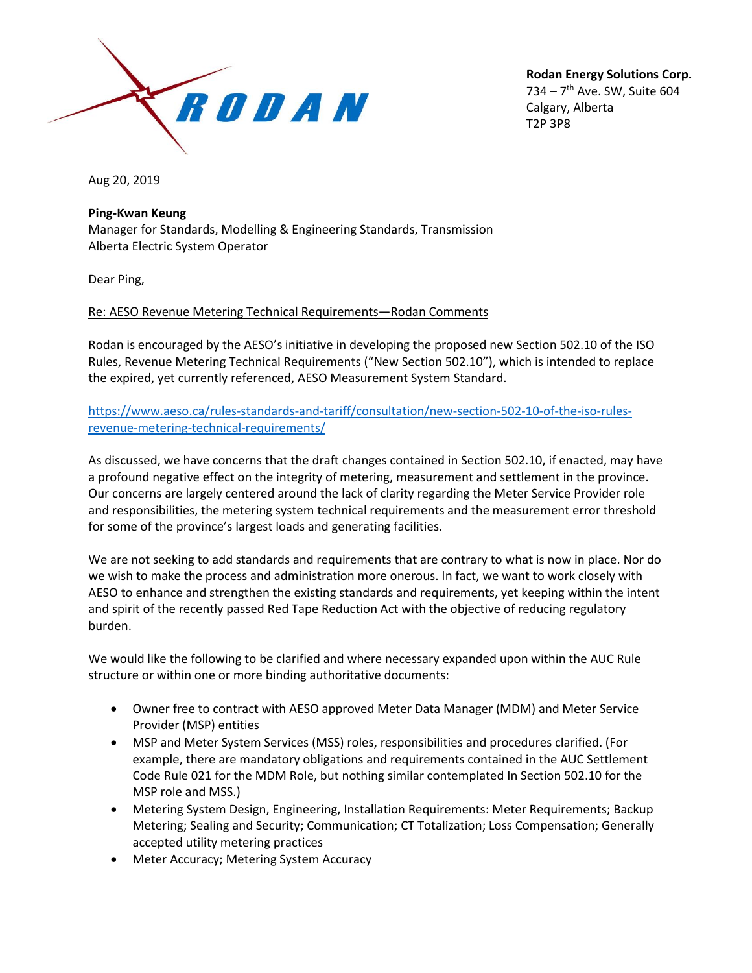

**Rodan Energy Solutions Corp.** 734 – 7<sup>th</sup> Ave. SW, Suite 604 Calgary, Alberta T2P 3P8

Aug 20, 2019

## **Ping-Kwan Keung**

Manager for Standards, Modelling & Engineering Standards, Transmission Alberta Electric System Operator

Dear Ping,

## Re: AESO Revenue Metering Technical Requirements—Rodan Comments

Rodan is encouraged by the AESO's initiative in developing the proposed new Section 502.10 of the ISO Rules, Revenue Metering Technical Requirements ("New Section 502.10"), which is intended to replace the expired, yet currently referenced, AESO Measurement System Standard.

[https://www.aeso.ca/rules-standards-and-tariff/consultation/new-section-502-10-of-the-iso-rules](https://www.aeso.ca/rules-standards-and-tariff/consultation/new-section-502-10-of-the-iso-rules-revenue-metering-technical-requirements/)[revenue-metering-technical-requirements/](https://www.aeso.ca/rules-standards-and-tariff/consultation/new-section-502-10-of-the-iso-rules-revenue-metering-technical-requirements/)

As discussed, we have concerns that the draft changes contained in Section 502.10, if enacted, may have a profound negative effect on the integrity of metering, measurement and settlement in the province. Our concerns are largely centered around the lack of clarity regarding the Meter Service Provider role and responsibilities, the metering system technical requirements and the measurement error threshold for some of the province's largest loads and generating facilities.

We are not seeking to add standards and requirements that are contrary to what is now in place. Nor do we wish to make the process and administration more onerous. In fact, we want to work closely with AESO to enhance and strengthen the existing standards and requirements, yet keeping within the intent and spirit of the recently passed Red Tape Reduction Act with the objective of reducing regulatory burden.

We would like the following to be clarified and where necessary expanded upon within the AUC Rule structure or within one or more binding authoritative documents:

- Owner free to contract with AESO approved Meter Data Manager (MDM) and Meter Service Provider (MSP) entities
- MSP and Meter System Services (MSS) roles, responsibilities and procedures clarified. (For example, there are mandatory obligations and requirements contained in the AUC Settlement Code Rule 021 for the MDM Role, but nothing similar contemplated In Section 502.10 for the MSP role and MSS.)
- Metering System Design, Engineering, Installation Requirements: Meter Requirements; Backup Metering; Sealing and Security; Communication; CT Totalization; Loss Compensation; Generally accepted utility metering practices
- Meter Accuracy; Metering System Accuracy